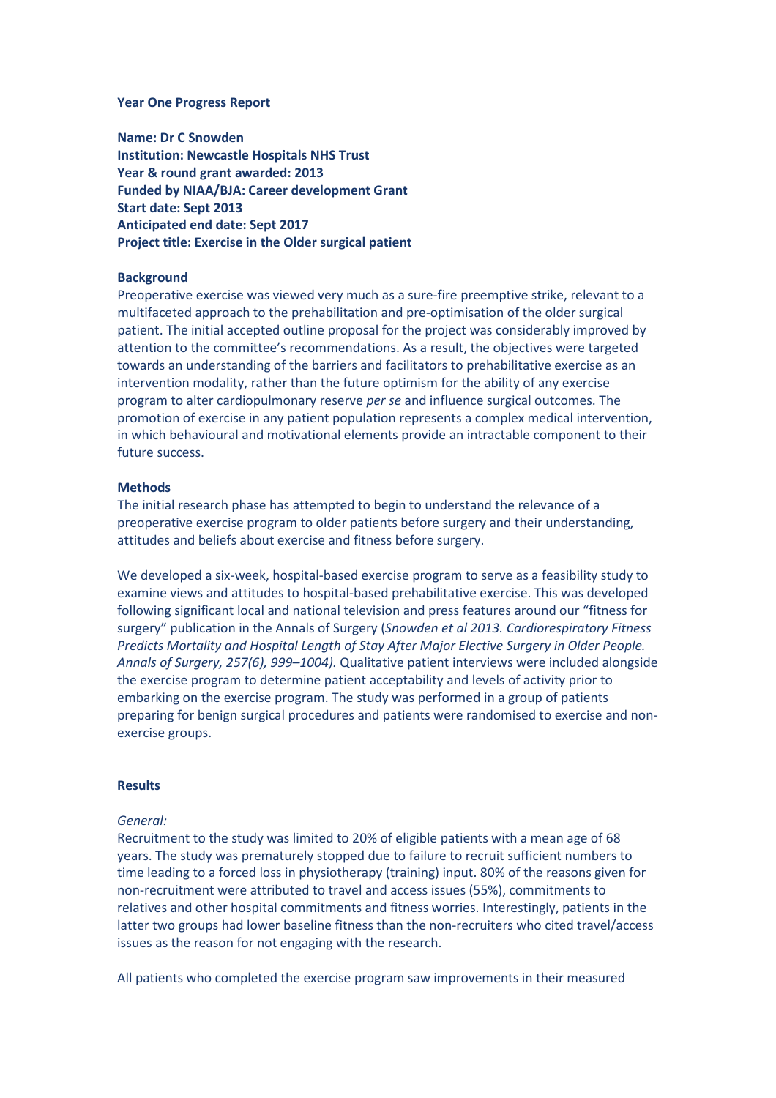#### **Year One Progress Report**

**Name: Dr C Snowden Institution: Newcastle Hospitals NHS Trust Year & round grant awarded: 2013 Funded by NIAA/BJA: Career development Grant Start date: Sept 2013 Anticipated end date: Sept 2017 Project title: Exercise in the Older surgical patient** 

# **Background**

Preoperative exercise was viewed very much as a sure-fire preemptive strike, relevant to a multifaceted approach to the prehabilitation and pre-optimisation of the older surgical patient. The initial accepted outline proposal for the project was considerably improved by attention to the committee's recommendations. As a result, the objectives were targeted towards an understanding of the barriers and facilitators to prehabilitative exercise as an intervention modality, rather than the future optimism for the ability of any exercise program to alter cardiopulmonary reserve *per se* and influence surgical outcomes. The promotion of exercise in any patient population represents a complex medical intervention, in which behavioural and motivational elements provide an intractable component to their future success.

#### **Methods**

The initial research phase has attempted to begin to understand the relevance of a preoperative exercise program to older patients before surgery and their understanding, attitudes and beliefs about exercise and fitness before surgery.

We developed a six-week, hospital-based exercise program to serve as a feasibility study to examine views and attitudes to hospital-based prehabilitative exercise. This was developed following significant local and national television and press features around our "fitness for surgery" publication in the Annals of Surgery (*Snowden et al 2013. Cardiorespiratory Fitness Predicts Mortality and Hospital Length of Stay After Major Elective Surgery in Older People. Annals of Surgery, 257(6), 999–1004).* Qualitative patient interviews were included alongside the exercise program to determine patient acceptability and levels of activity prior to embarking on the exercise program. The study was performed in a group of patients preparing for benign surgical procedures and patients were randomised to exercise and nonexercise groups.

# **Results**

# *General:*

Recruitment to the study was limited to 20% of eligible patients with a mean age of 68 years. The study was prematurely stopped due to failure to recruit sufficient numbers to time leading to a forced loss in physiotherapy (training) input. 80% of the reasons given for non-recruitment were attributed to travel and access issues (55%), commitments to relatives and other hospital commitments and fitness worries. Interestingly, patients in the latter two groups had lower baseline fitness than the non-recruiters who cited travel/access issues as the reason for not engaging with the research.

All patients who completed the exercise program saw improvements in their measured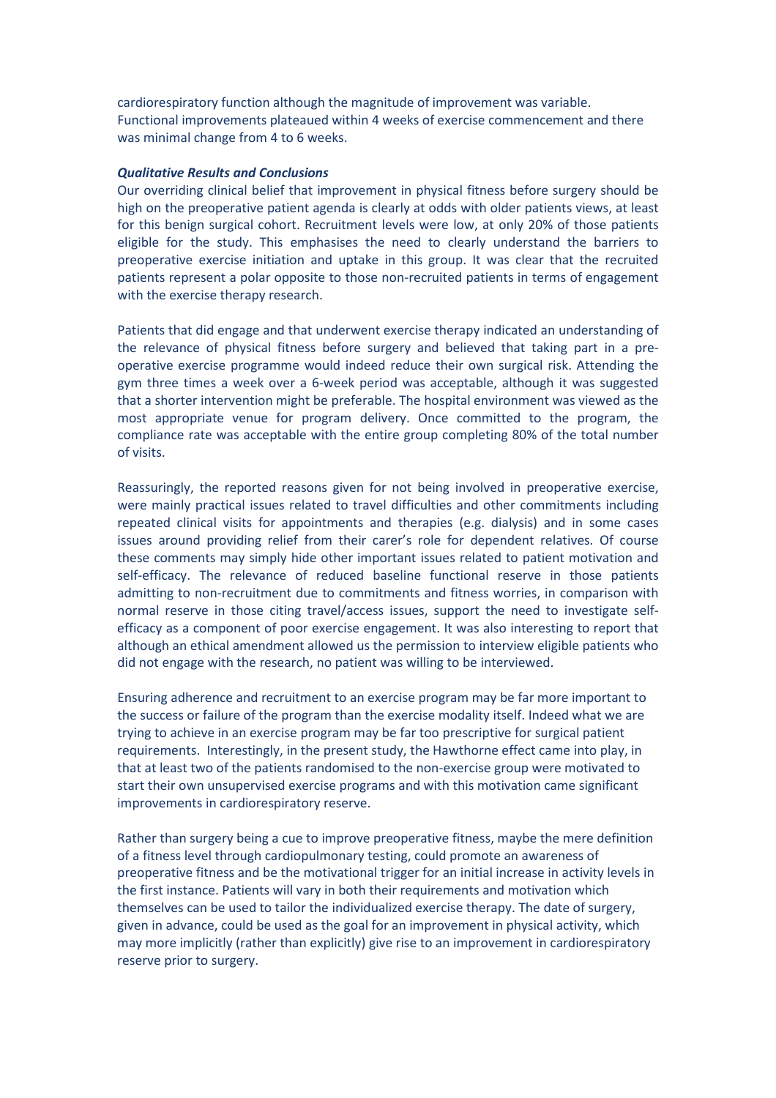cardiorespiratory function although the magnitude of improvement was variable. Functional improvements plateaued within 4 weeks of exercise commencement and there was minimal change from 4 to 6 weeks.

### *Qualitative Results and Conclusions*

Our overriding clinical belief that improvement in physical fitness before surgery should be high on the preoperative patient agenda is clearly at odds with older patients views, at least for this benign surgical cohort. Recruitment levels were low, at only 20% of those patients eligible for the study. This emphasises the need to clearly understand the barriers to preoperative exercise initiation and uptake in this group. It was clear that the recruited patients represent a polar opposite to those non-recruited patients in terms of engagement with the exercise therapy research.

Patients that did engage and that underwent exercise therapy indicated an understanding of the relevance of physical fitness before surgery and believed that taking part in a preoperative exercise programme would indeed reduce their own surgical risk. Attending the gym three times a week over a 6-week period was acceptable, although it was suggested that a shorter intervention might be preferable. The hospital environment was viewed as the most appropriate venue for program delivery. Once committed to the program, the compliance rate was acceptable with the entire group completing 80% of the total number of visits.

Reassuringly, the reported reasons given for not being involved in preoperative exercise, were mainly practical issues related to travel difficulties and other commitments including repeated clinical visits for appointments and therapies (e.g. dialysis) and in some cases issues around providing relief from their carer's role for dependent relatives. Of course these comments may simply hide other important issues related to patient motivation and self-efficacy. The relevance of reduced baseline functional reserve in those patients admitting to non-recruitment due to commitments and fitness worries, in comparison with normal reserve in those citing travel/access issues, support the need to investigate selfefficacy as a component of poor exercise engagement. It was also interesting to report that although an ethical amendment allowed us the permission to interview eligible patients who did not engage with the research, no patient was willing to be interviewed.

Ensuring adherence and recruitment to an exercise program may be far more important to the success or failure of the program than the exercise modality itself. Indeed what we are trying to achieve in an exercise program may be far too prescriptive for surgical patient requirements. Interestingly, in the present study, the Hawthorne effect came into play, in that at least two of the patients randomised to the non-exercise group were motivated to start their own unsupervised exercise programs and with this motivation came significant improvements in cardiorespiratory reserve.

Rather than surgery being a cue to improve preoperative fitness, maybe the mere definition of a fitness level through cardiopulmonary testing, could promote an awareness of preoperative fitness and be the motivational trigger for an initial increase in activity levels in the first instance. Patients will vary in both their requirements and motivation which themselves can be used to tailor the individualized exercise therapy. The date of surgery, given in advance, could be used as the goal for an improvement in physical activity, which may more implicitly (rather than explicitly) give rise to an improvement in cardiorespiratory reserve prior to surgery.